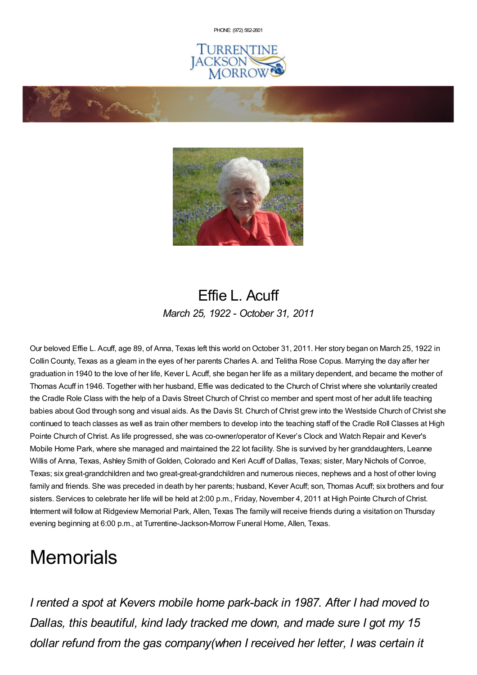PHONE: (972) [562-2601](tel:(972) 562-2601)





### Effie L. Acuff *March 25, 1922 - October 31, 2011*

Our beloved Effie L. Acuff, age 89, of Anna, Texas left this world on October 31, 2011. Her story began on March 25, 1922 in Collin County, Texas as a gleam in the eyes of her parents Charles A. and Telitha Rose Copus. Marrying the day after her graduation in 1940 to the love of her life, Kever L Acuff, she began her life as a military dependent, and became the mother of Thomas Acuff in 1946. Together with her husband, Effie was dedicated to the Church of Christ where she voluntarily created the Cradle Role Class with the help of a Davis Street Church of Christ co member and spent most of her adult life teaching babies about God through song and visual aids. As the Davis St. Church of Christ grew into the Westside Church of Christ she continued to teach classes as well as train other members to develop into the teaching staff of the Cradle Roll Classes at High Pointe Church of Christ. As life progressed, she was co-owner/operator of Kever's Clock and Watch Repair and Kever's Mobile Home Park, where she managed and maintained the 22 lot facility. She is survived by her granddaughters, Leanne Willis of Anna, Texas, Ashley Smith of Golden, Colorado and Keri Acuff of Dallas, Texas; sister, Mary Nichols of Conroe, Texas; six great-grandchildren and two great-great-grandchildren and numerous nieces, nephews and a host of other loving family and friends. She was preceded in death by her parents; husband, Kever Acuff; son, Thomas Acuff; six brothers and four sisters. Services to celebrate her life will be held at 2:00 p.m., Friday, November 4, 2011 at High Pointe Church of Christ. Interment will follow at Ridgeview Memorial Park, Allen, Texas The family will receive friends during a visitation on Thursday evening beginning at 6:00 p.m., at Turrentine-Jackson-Morrow Funeral Home, Allen, Texas.

# **Memorials**

*I rented a spot at Kevers mobile home park-back in 1987. After I had moved to Dallas, this beautiful, kind lady tracked me down, and made sure I got my 15 dollar refund from the gas company(when I received her letter, I was certain it*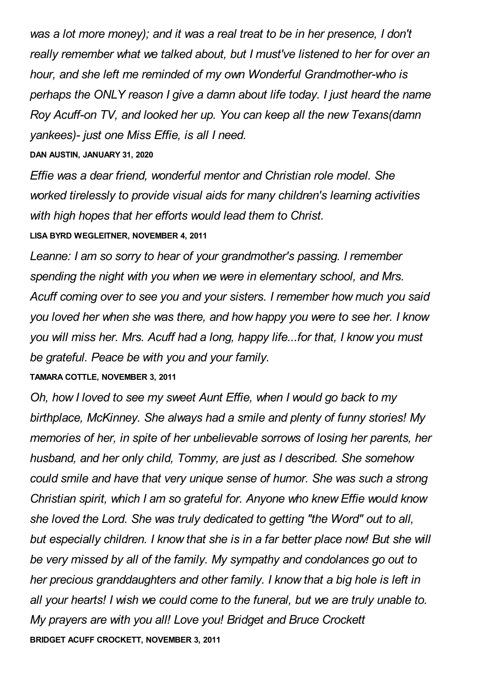*was a lot more money); and it was a real treat to be in her presence, I don't really remember what we talked about, but I must've listened to her for over an hour, and she left me reminded of my own Wonderful Grandmother-who is perhaps the ONLY reason I give a damn about life today. I just heard the name Roy Acuff-on TV, and looked her up. You can keep all the new Texans(damn yankees)- just one Miss Effie, is all I need.*

#### **DAN AUSTIN, JANUARY 31, 2020**

*Effie was a dear friend, wonderful mentor and Christian role model. She worked tirelessly to provide visual aids for many children's learning activities with high hopes that her efforts would lead them to Christ.* **LISA BYRD WEGLEITNER, NOVEMBER 4, 2011**

*Leanne: I am so sorry to hear of your grandmother's passing. I remember spending the night with you when we were in elementary school, and Mrs. Acuff coming over to see you and your sisters. I remember how much you said you loved her when she was there, and how happy you were to see her. I know you will miss her. Mrs. Acuff had a long, happy life...for that, I know you must be grateful. Peace be with you and your family.*

#### **TAMARA COTTLE, NOVEMBER 3, 2011**

*Oh, how I loved to see my sweet Aunt Effie, when I would go back to my birthplace, McKinney. She always had a smile and plenty of funny stories! My memories of her, in spite of her unbelievable sorrows of losing her parents, her husband, and her only child, Tommy, are just as I described. She somehow could smile and have that very unique sense of humor. She was such a strong Christian spirit, which I am so grateful for. Anyone who knew Effie would know she loved the Lord. She was truly dedicated to getting "the Word" out to all, but especially children. I know that she is in a far better place now! But she will be very missed by all of the family. My sympathy and condolances go out to her precious granddaughters and other family. I know that a big hole is left in all your hearts! I wish we could come to the funeral, but we are truly unable to. My prayers are with you all! Love you! Bridget and Bruce Crockett* **BRIDGET ACUFF CROCKETT, NOVEMBER 3, 2011**